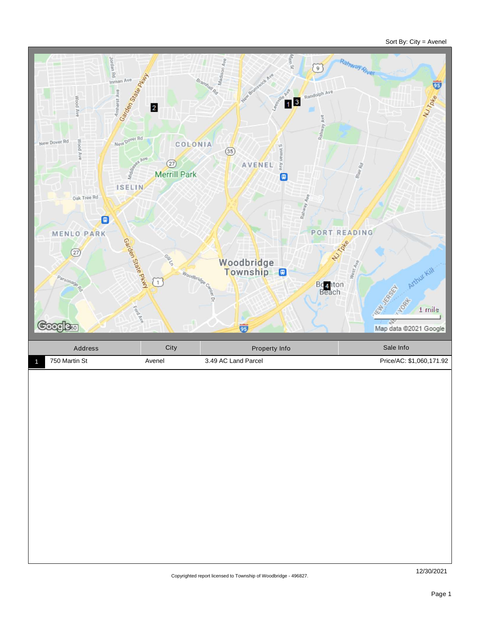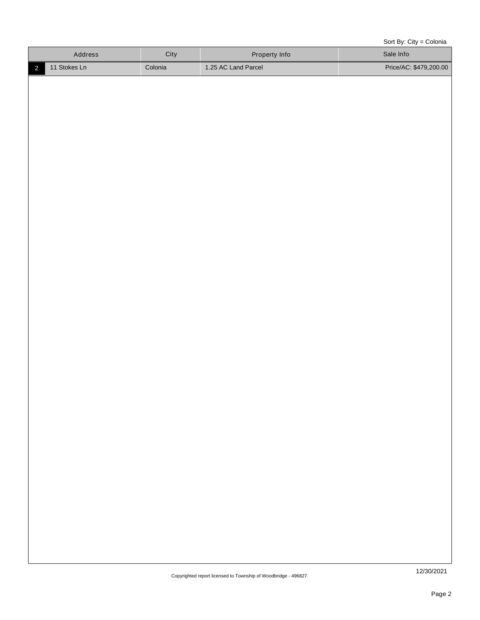Sort By: City = Colonia

| Address   | City    | <b>Property Info</b> | Sale Info              |
|-----------|---------|----------------------|------------------------|
| Stokes Ln | Colonia | 1.25 AC Land Parcel  | Price/AC: \$479,200.00 |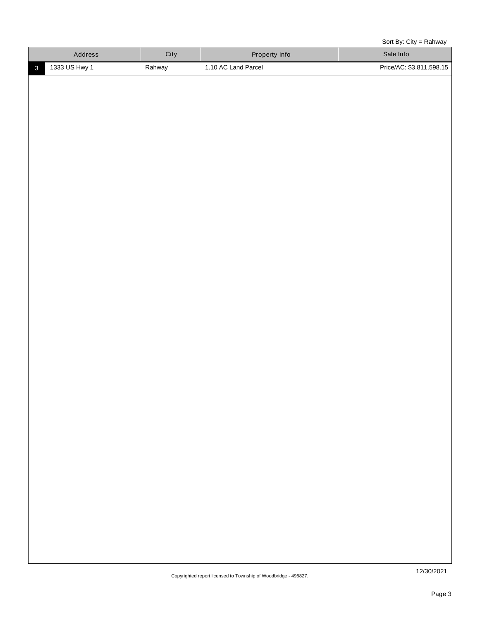Sort By: City = Rahway

| <b>Address</b> | City   | Property Info       | Sale Info                |
|----------------|--------|---------------------|--------------------------|
| 1333 US Hwy 1  | Rahway | 1.10 AC Land Parcel | Price/AC: \$3,811,598.15 |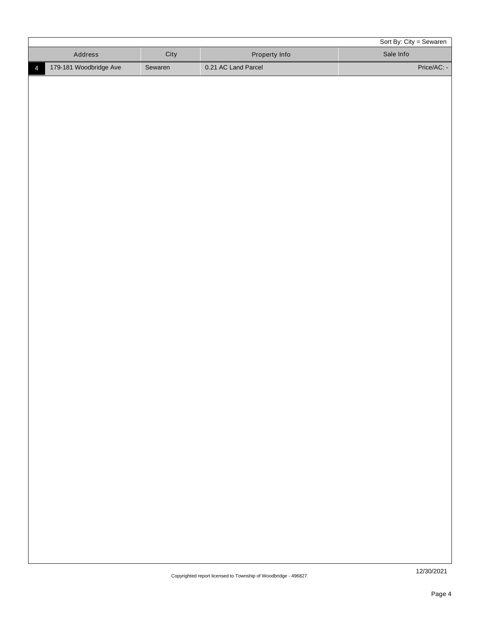|                |                        |         |                                                                | Sort By: City = Sewaren |
|----------------|------------------------|---------|----------------------------------------------------------------|-------------------------|
|                | Address                | City    | Property Info                                                  | Sale Info               |
| $\overline{4}$ | 179-181 Woodbridge Ave | Sewaren | 0.21 AC Land Parcel                                            | Price/AC: -             |
|                |                        |         |                                                                |                         |
|                |                        |         |                                                                |                         |
|                |                        |         |                                                                |                         |
|                |                        |         |                                                                |                         |
|                |                        |         |                                                                |                         |
|                |                        |         |                                                                |                         |
|                |                        |         |                                                                |                         |
|                |                        |         |                                                                |                         |
|                |                        |         |                                                                |                         |
|                |                        |         |                                                                |                         |
|                |                        |         |                                                                |                         |
|                |                        |         |                                                                |                         |
|                |                        |         |                                                                |                         |
|                |                        |         |                                                                |                         |
|                |                        |         |                                                                |                         |
|                |                        |         |                                                                |                         |
|                |                        |         |                                                                |                         |
|                |                        |         |                                                                |                         |
|                |                        |         |                                                                |                         |
|                |                        |         |                                                                |                         |
|                |                        |         |                                                                |                         |
|                |                        |         |                                                                |                         |
|                |                        |         |                                                                |                         |
|                |                        |         |                                                                |                         |
|                |                        |         |                                                                |                         |
|                |                        |         |                                                                |                         |
|                |                        |         |                                                                |                         |
|                |                        |         |                                                                |                         |
|                |                        |         |                                                                |                         |
|                |                        |         |                                                                |                         |
|                |                        |         |                                                                |                         |
|                |                        |         |                                                                |                         |
|                |                        |         |                                                                |                         |
|                |                        |         |                                                                |                         |
|                |                        |         |                                                                |                         |
|                |                        |         |                                                                |                         |
|                |                        |         |                                                                |                         |
|                |                        |         |                                                                |                         |
|                |                        |         |                                                                |                         |
|                |                        |         |                                                                |                         |
|                |                        |         |                                                                |                         |
|                |                        |         | Convrighted report licensed to Township of Woodbridge - 496827 | 12/30/2021              |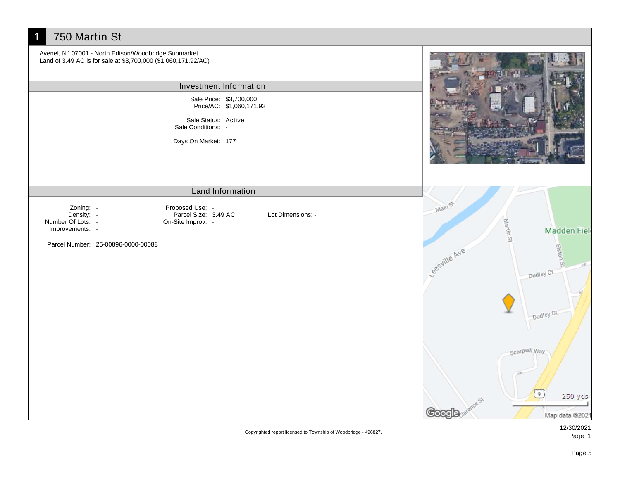## 1 750 Martin St Avenel, NJ 07001 - North Edison/Woodbridge Submarket Land of 3.49 AC is for sale at \$3,700,000 (\$1,060,171.92/AC) Investment Information Sale Price: \$3,700,000 Price/AC: \$1,060,171.92 Sale Status: Active Sale Conditions: -Days On Market: 177 Land Information Mains Proposed Use: - Zoning: - Density: -Parcel Size: 3.49 AC Lot Dimensions: - Martin St Number Of Lots: - On-Site Improv: - Improvements: - **Madden Field** Cesville Ave Parcel Number: 25-00896-0000-00088 Elston Dudley Ct Dudley Ct Scarpelli Way **e** 250 yds cs **Google** Map data @2021

Copyrighted report licensed to Township of Woodbridge - 496827.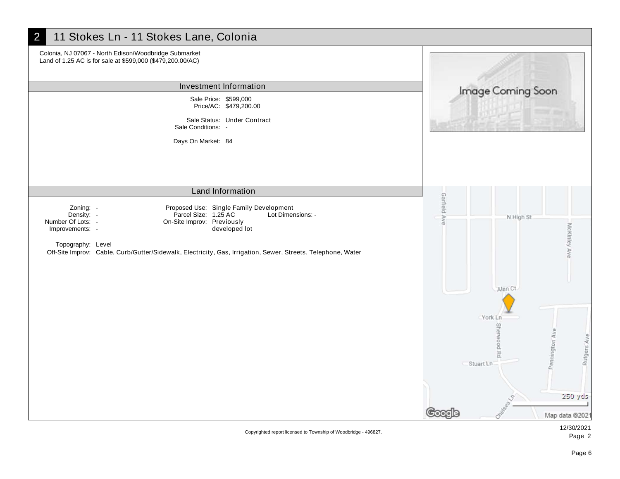

Copyrighted report licensed to Township of Woodbridge - 496827.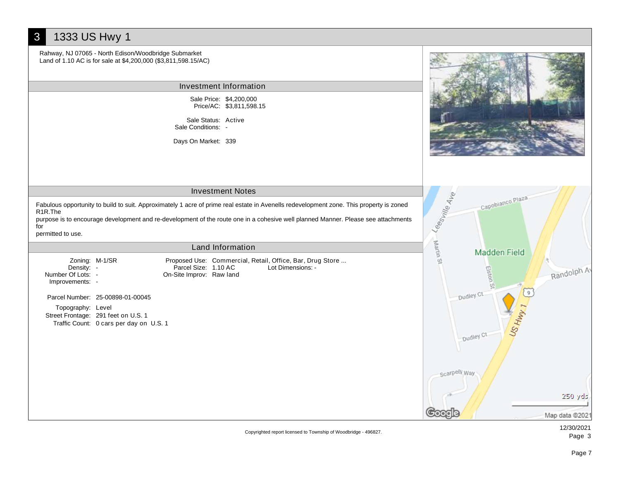## 3 1333 US Hwy 1 Rahway, NJ 07065 - North Edison/Woodbridge Submarket Land of 1.10 AC is for sale at \$4,200,000 (\$3,811,598.15/AC) Investment Information Sale Price: \$4,200,000 Price/AC: \$3,811,598.15 Sale Status: Active Sale Conditions: - Days On Market: 339 Investment Notes Lees ville Ave Capobianco Plaza Fabulous opportunity to build to suit. Approximately 1 acre of prime real estate in Avenells redevelopment zone. This property is zoned R1R.The purpose is to encourage development and re-development of the route one in a cohesive well planned Manner. Please see attachments for permitted to use. Martin Land Information **Madden Field** Zoning: M-1/SR Proposed Use: Commercial, Retail, Office, Bar, Drug Store ...  $\mathcal{Q}$ Randolph Av Density: -Parcel Size: 1.10 AC Lot Dimensions: - Elston Number Of Lots: - On-Site Improv: Raw land Improvements: - Dudley Ct Parcel Number: 25-00898-01-00045 US HWY 1 Topography: Level Street Frontage: 291 feet on U.S. 1 Traffic Count: 0 cars per day on U.S. 1 Dudley Ct scarpelli.Way 250 yds Map data @2021

Copyrighted report licensed to Township of Woodbridge - 496827.